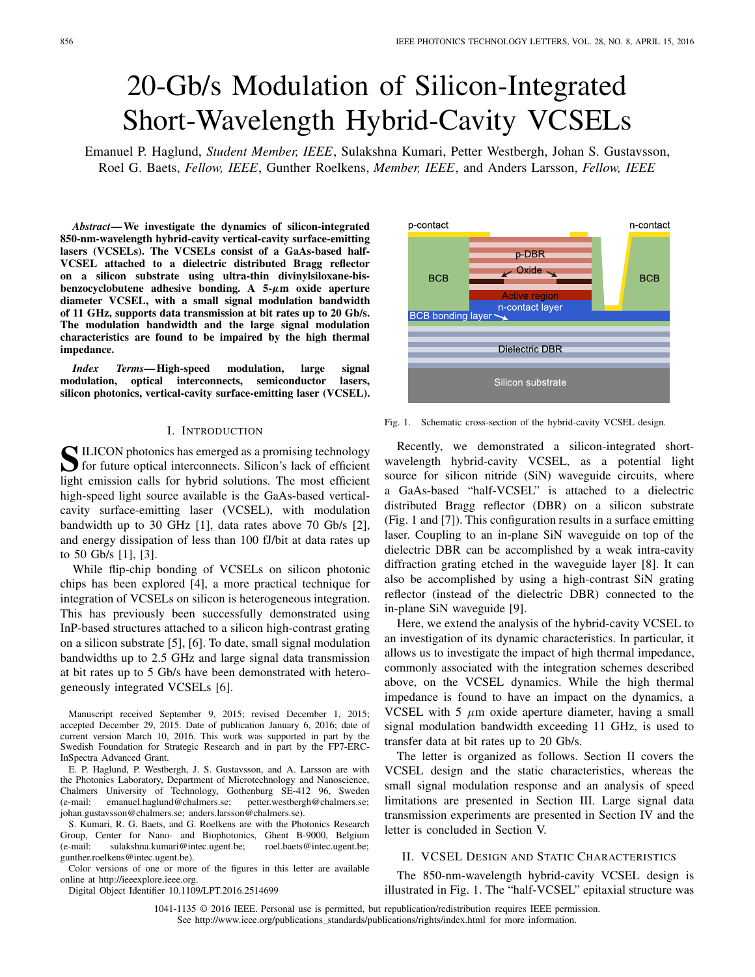# 20-Gb/s Modulation of Silicon-Integrated Short-Wavelength Hybrid-Cavity VCSELs

Emanuel P. Haglund, *Student Member, IEEE*, Sulakshna Kumari, Petter Westbergh, Johan S. Gustavsson, Roel G. Baets, *Fellow, IEEE*, Gunther Roelkens, *Member, IEEE*, and Anders Larsson, *Fellow, IEEE*

*Abstract***— We investigate the dynamics of silicon-integrated 850-nm-wavelength hybrid-cavity vertical-cavity surface-emitting lasers (VCSELs). The VCSELs consist of a GaAs-based half-VCSEL attached to a dielectric distributed Bragg reflector on a silicon substrate using ultra-thin divinylsiloxane-bisbenzocyclobutene adhesive bonding. A 5-***µ***m oxide aperture diameter VCSEL, with a small signal modulation bandwidth of 11 GHz, supports data transmission at bit rates up to 20 Gb/s. The modulation bandwidth and the large signal modulation characteristics are found to be impaired by the high thermal impedance.**

*Index Terms***— High-speed modulation, large signal modulation, optical interconnects, semiconductor lasers, silicon photonics, vertical-cavity surface-emitting laser (VCSEL).**

## I. INTRODUCTION

**S**ILICON photonics has emerged as a promising technology for future optical interconnects. Silicon's lack of efficient light emission calls for hybrid solutions. The most efficient high-speed light source available is the GaAs-based verticalcavity surface-emitting laser (VCSEL), with modulation bandwidth up to 30 GHz [1], data rates above 70 Gb/s [2], and energy dissipation of less than 100 fJ/bit at data rates up to 50 Gb/s [1], [3].

While flip-chip bonding of VCSELs on silicon photonic chips has been explored [4], a more practical technique for integration of VCSELs on silicon is heterogeneous integration. This has previously been successfully demonstrated using InP-based structures attached to a silicon high-contrast grating on a silicon substrate [5], [6]. To date, small signal modulation bandwidths up to 2.5 GHz and large signal data transmission at bit rates up to 5 Gb/s have been demonstrated with heterogeneously integrated VCSELs [6].

Manuscript received September 9, 2015; revised December 1, 2015; accepted December 29, 2015. Date of publication January 6, 2016; date of current version March 10, 2016. This work was supported in part by the Swedish Foundation for Strategic Research and in part by the FP7-ERC-InSpectra Advanced Grant.

E. P. Haglund, P. Westbergh, J. S. Gustavsson, and A. Larsson are with the Photonics Laboratory, Department of Microtechnology and Nanoscience, Chalmers University of Technology, Gothenburg SE-412 96, Sweden (e-mail: emanuel.haglund@chalmers.se; petter.westbergh@chalmers.se; johan.gustavsson@chalmers.se; anders.larsson@chalmers.se).

S. Kumari, R. G. Baets, and G. Roelkens are with the Photonics Research Group, Center for Nano- and Biophotonics, Ghent B-9000, Belgium (e-mail: sulakshna.kumari@intec.ugent.be; roel.baets@intec.ugent.be; gunther.roelkens@intec.ugent.be).

Color versions of one or more of the figures in this letter are available online at http://ieeexplore.ieee.org.

Digital Object Identifier 10.1109/LPT.2016.2514699



Recently, we demonstrated a silicon-integrated shortwavelength hybrid-cavity VCSEL, as a potential light source for silicon nitride (SiN) waveguide circuits, where a GaAs-based "half-VCSEL" is attached to a dielectric distributed Bragg reflector (DBR) on a silicon substrate (Fig. 1 and [7]). This configuration results in a surface emitting laser. Coupling to an in-plane SiN waveguide on top of the dielectric DBR can be accomplished by a weak intra-cavity diffraction grating etched in the waveguide layer [8]. It can also be accomplished by using a high-contrast SiN grating reflector (instead of the dielectric DBR) connected to the in-plane SiN waveguide [9].

Here, we extend the analysis of the hybrid-cavity VCSEL to an investigation of its dynamic characteristics. In particular, it allows us to investigate the impact of high thermal impedance, commonly associated with the integration schemes described above, on the VCSEL dynamics. While the high thermal impedance is found to have an impact on the dynamics, a VCSEL with 5  $\mu$ m oxide aperture diameter, having a small signal modulation bandwidth exceeding 11 GHz, is used to transfer data at bit rates up to 20 Gb/s.

The letter is organized as follows. Section II covers the VCSEL design and the static characteristics, whereas the small signal modulation response and an analysis of speed limitations are presented in Section III. Large signal data transmission experiments are presented in Section IV and the letter is concluded in Section V.

## II. VCSEL DESIGN AND STATIC CHARACTERISTICS

The 850-nm-wavelength hybrid-cavity VCSEL design is illustrated in Fig. 1. The "half-VCSEL" epitaxial structure was

1041-1135 © 2016 IEEE. Personal use is permitted, but republication/redistribution requires IEEE permission. See http://www.ieee.org/publications\_standards/publications/rights/index.html for more information.

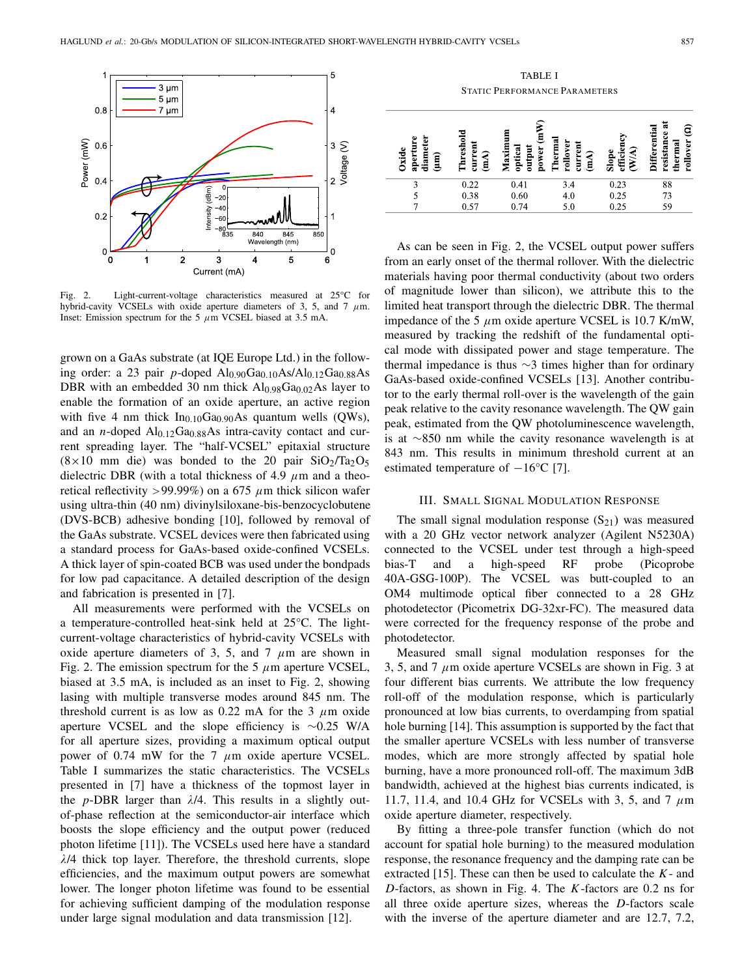

Fig. 2. Light-current-voltage characteristics measured at 25°C for hybrid-cavity VCSELs with oxide aperture diameters of 3, 5, and 7  $\mu$ m. Inset: Emission spectrum for the 5  $\mu$ m VCSEL biased at 3.5 mA.

grown on a GaAs substrate (at IQE Europe Ltd.) in the following order: a 23 pair *p*-doped Al<sub>0.90</sub>Ga<sub>0.10</sub>As/Al<sub>0.12</sub>Ga<sub>0.88</sub>As DBR with an embedded 30 nm thick  $Al<sub>0.98</sub>Ga<sub>0.02</sub>As layer to$ enable the formation of an oxide aperture, an active region with five 4 nm thick  $In<sub>0.10</sub>Ga<sub>0.90</sub>As quantum wells (QWs)$ , and an *n*-doped  $Al<sub>0.12</sub>Ga<sub>0.88</sub>As intra-cavity contact and cur$ rent spreading layer. The "half-VCSEL" epitaxial structure  $(8 \times 10$  mm die) was bonded to the 20 pair SiO<sub>2</sub>/Ta<sub>2</sub>O<sub>5</sub> dielectric DBR (with a total thickness of 4.9  $\mu$ m and a theoretical reflectivity >99.99%) on a 675  $\mu$ m thick silicon wafer using ultra-thin (40 nm) divinylsiloxane-bis-benzocyclobutene (DVS-BCB) adhesive bonding [10], followed by removal of the GaAs substrate. VCSEL devices were then fabricated using a standard process for GaAs-based oxide-confined VCSELs. A thick layer of spin-coated BCB was used under the bondpads for low pad capacitance. A detailed description of the design and fabrication is presented in [7].

All measurements were performed with the VCSELs on a temperature-controlled heat-sink held at 25°C. The lightcurrent-voltage characteristics of hybrid-cavity VCSELs with oxide aperture diameters of 3, 5, and 7  $\mu$ m are shown in Fig. 2. The emission spectrum for the 5  $\mu$ m aperture VCSEL, biased at 3.5 mA, is included as an inset to Fig. 2, showing lasing with multiple transverse modes around 845 nm. The threshold current is as low as 0.22 mA for the 3  $\mu$ m oxide aperture VCSEL and the slope efficiency is ∼0.25 W/A for all aperture sizes, providing a maximum optical output power of 0.74 mW for the 7  $\mu$ m oxide aperture VCSEL. Table I summarizes the static characteristics. The VCSELs presented in [7] have a thickness of the topmost layer in the *p*-DBR larger than  $\lambda/4$ . This results in a slightly outof-phase reflection at the semiconductor-air interface which boosts the slope efficiency and the output power (reduced photon lifetime [11]). The VCSELs used here have a standard  $\lambda$ /4 thick top layer. Therefore, the threshold currents, slope efficiencies, and the maximum output powers are somewhat lower. The longer photon lifetime was found to be essential for achieving sufficient damping of the modulation response under large signal modulation and data transmission [12].

TABLE I STATIC PERFORMANCE PARAMETERS

| diameter<br>ω<br>Oxide<br>apert<br>(lm | Threshold<br>current<br>$\mathbf{m}$ | $\binom{m}{m}$<br>٤<br>power<br>optical<br>output<br>Maxir | <b>Therma</b><br>rollover<br>current<br>(mA) | efficiency<br>(N/A)<br>Slope | ä<br>ē<br>rtial<br>resistance<br>rollover<br>thermal<br><b>Differe</b> |
|----------------------------------------|--------------------------------------|------------------------------------------------------------|----------------------------------------------|------------------------------|------------------------------------------------------------------------|
| 3                                      | 0.22                                 | 0.41                                                       | 3.4                                          | 0.23                         | 88                                                                     |
|                                        | 0.38                                 | 0.60                                                       | 4.0                                          | 0.25                         | 73                                                                     |
|                                        | 0.57                                 | 0.74                                                       | 5.0                                          | 0.25                         | 59                                                                     |

As can be seen in Fig. 2, the VCSEL output power suffers from an early onset of the thermal rollover. With the dielectric materials having poor thermal conductivity (about two orders of magnitude lower than silicon), we attribute this to the limited heat transport through the dielectric DBR. The thermal impedance of the 5  $\mu$ m oxide aperture VCSEL is 10.7 K/mW, measured by tracking the redshift of the fundamental optical mode with dissipated power and stage temperature. The thermal impedance is thus ∼3 times higher than for ordinary GaAs-based oxide-confined VCSELs [13]. Another contributor to the early thermal roll-over is the wavelength of the gain peak relative to the cavity resonance wavelength. The QW gain peak, estimated from the QW photoluminescence wavelength, is at ∼850 nm while the cavity resonance wavelength is at 843 nm. This results in minimum threshold current at an estimated temperature of  $-16^{\circ}$ C [7].

### III. SMALL SIGNAL MODULATION RESPONSE

The small signal modulation response  $(S_{21})$  was measured with a 20 GHz vector network analyzer (Agilent N5230A) connected to the VCSEL under test through a high-speed bias-T and a high-speed RF probe (Picoprobe 40A-GSG-100P). The VCSEL was butt-coupled to an OM4 multimode optical fiber connected to a 28 GHz photodetector (Picometrix DG-32xr-FC). The measured data were corrected for the frequency response of the probe and photodetector.

Measured small signal modulation responses for the 3, 5, and 7  $\mu$ m oxide aperture VCSELs are shown in Fig. 3 at four different bias currents. We attribute the low frequency roll-off of the modulation response, which is particularly pronounced at low bias currents, to overdamping from spatial hole burning [14]. This assumption is supported by the fact that the smaller aperture VCSELs with less number of transverse modes, which are more strongly affected by spatial hole burning, have a more pronounced roll-off. The maximum 3dB bandwidth, achieved at the highest bias currents indicated, is 11.7, 11.4, and 10.4 GHz for VCSELs with 3, 5, and 7  $\mu$ m oxide aperture diameter, respectively.

By fitting a three-pole transfer function (which do not account for spatial hole burning) to the measured modulation response, the resonance frequency and the damping rate can be extracted [15]. These can then be used to calculate the *K*- and *D*-factors, as shown in Fig. 4. The *K*-factors are 0.2 ns for all three oxide aperture sizes, whereas the *D*-factors scale with the inverse of the aperture diameter and are 12.7, 7.2,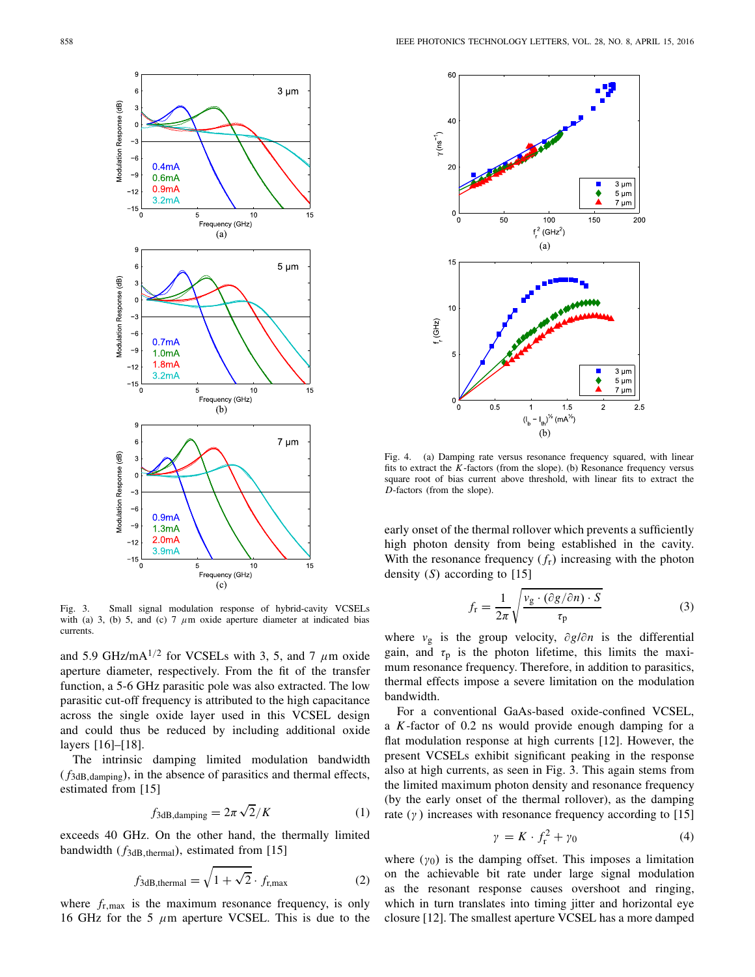

Fig. 3. Small signal modulation response of hybrid-cavity VCSELs with (a) 3, (b) 5, and (c) 7  $\mu$ m oxide aperture diameter at indicated bias currents.

and 5.9 GHz/mA $^{1/2}$  for VCSELs with 3, 5, and 7  $\mu$ m oxide aperture diameter, respectively. From the fit of the transfer function, a 5-6 GHz parasitic pole was also extracted. The low parasitic cut-off frequency is attributed to the high capacitance across the single oxide layer used in this VCSEL design and could thus be reduced by including additional oxide layers [16]–[18].

The intrinsic damping limited modulation bandwidth  $(f_{3dB, damping})$ , in the absence of parasitics and thermal effects, estimated from [15]

$$
f_{3dB,\text{damping}} = 2\pi \sqrt{2}/K \tag{1}
$$

exceeds 40 GHz. On the other hand, the thermally limited bandwidth ( $f_{3dB, thermal}$ ), estimated from [15]

$$
f_{3dB, thermal} = \sqrt{1 + \sqrt{2}} \cdot f_{r,max}
$$
 (2)

where  $f_{r,\text{max}}$  is the maximum resonance frequency, is only 16 GHz for the 5  $\mu$ m aperture VCSEL. This is due to the



Fig. 4. (a) Damping rate versus resonance frequency squared, with linear fits to extract the *K*-factors (from the slope). (b) Resonance frequency versus square root of bias current above threshold, with linear fits to extract the *D*-factors (from the slope).

early onset of the thermal rollover which prevents a sufficiently high photon density from being established in the cavity. With the resonance frequency  $(f_r)$  increasing with the photon density (*S*) according to [15]

$$
f_{\rm r} = \frac{1}{2\pi} \sqrt{\frac{v_{\rm g} \cdot (\partial g/\partial n) \cdot S}{\tau_{\rm p}}}
$$
(3)

where *v*<sup>g</sup> is the group velocity, ∂*g*/∂*n* is the differential gain, and  $\tau_p$  is the photon lifetime, this limits the maximum resonance frequency. Therefore, in addition to parasitics, thermal effects impose a severe limitation on the modulation bandwidth.

For a conventional GaAs-based oxide-confined VCSEL, a *K*-factor of 0.2 ns would provide enough damping for a flat modulation response at high currents [12]. However, the present VCSELs exhibit significant peaking in the response also at high currents, as seen in Fig. 3. This again stems from the limited maximum photon density and resonance frequency (by the early onset of the thermal rollover), as the damping rate  $(y)$  increases with resonance frequency according to [15]

$$
\gamma = K \cdot f_{\rm r}^2 + \gamma_0 \tag{4}
$$

where  $(y_0)$  is the damping offset. This imposes a limitation on the achievable bit rate under large signal modulation as the resonant response causes overshoot and ringing, which in turn translates into timing jitter and horizontal eye closure [12]. The smallest aperture VCSEL has a more damped